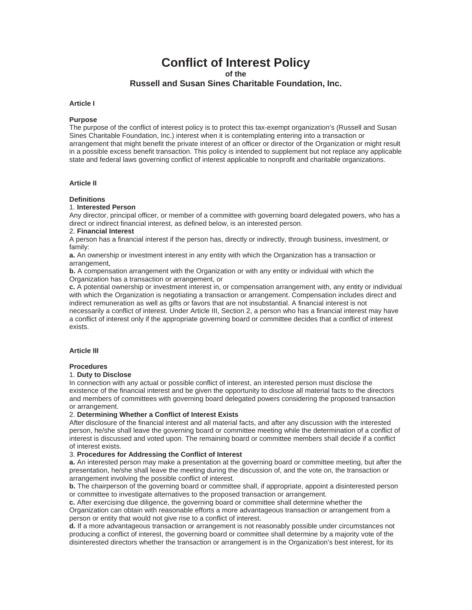# **Conflict of Interest Policy of the Russell and Susan Sines Charitable Foundation, Inc.**

### **Article I**

### **Purpose**

The purpose of the conflict of interest policy is to protect this tax-exempt organization's (Russell and Susan Sines Charitable Foundation, Inc.) interest when it is contemplating entering into a transaction or arrangement that might benefit the private interest of an officer or director of the Organization or might result in a possible excess benefit transaction. This policy is intended to supplement but not replace any applicable state and federal laws governing conflict of interest applicable to nonprofit and charitable organizations.

### **Article II**

### **Definitions**

### 1. **Interested Person**

Any director, principal officer, or member of a committee with governing board delegated powers, who has a direct or indirect financial interest, as defined below, is an interested person.

### 2. **Financial Interest**

A person has a financial interest if the person has, directly or indirectly, through business, investment, or family:

**a.** An ownership or investment interest in any entity with which the Organization has a transaction or arrangement,

**b.** A compensation arrangement with the Organization or with any entity or individual with which the Organization has a transaction or arrangement, or

**c.** A potential ownership or investment interest in, or compensation arrangement with, any entity or individual with which the Organization is negotiating a transaction or arrangement. Compensation includes direct and indirect remuneration as well as gifts or favors that are not insubstantial. A financial interest is not necessarily a conflict of interest. Under Article III, Section 2, a person who has a financial interest may have a conflict of interest only if the appropriate governing board or committee decides that a conflict of interest exists.

### **Article III**

### **Procedures**

### 1. **Duty to Disclose**

In connection with any actual or possible conflict of interest, an interested person must disclose the existence of the financial interest and be given the opportunity to disclose all material facts to the directors and members of committees with governing board delegated powers considering the proposed transaction or arrangement.

### 2. **Determining Whether a Conflict of Interest Exists**

After disclosure of the financial interest and all material facts, and after any discussion with the interested person, he/she shall leave the governing board or committee meeting while the determination of a conflict of interest is discussed and voted upon. The remaining board or committee members shall decide if a conflict of interest exists.

### 3. **Procedures for Addressing the Conflict of Interest**

**a.** An interested person may make a presentation at the governing board or committee meeting, but after the presentation, he/she shall leave the meeting during the discussion of, and the vote on, the transaction or arrangement involving the possible conflict of interest.

**b.** The chairperson of the governing board or committee shall, if appropriate, appoint a disinterested person or committee to investigate alternatives to the proposed transaction or arrangement.

**c.** After exercising due diligence, the governing board or committee shall determine whether the

Organization can obtain with reasonable efforts a more advantageous transaction or arrangement from a person or entity that would not give rise to a conflict of interest.

**d.** If a more advantageous transaction or arrangement is not reasonably possible under circumstances not producing a conflict of interest, the governing board or committee shall determine by a majority vote of the disinterested directors whether the transaction or arrangement is in the Organization's best interest, for its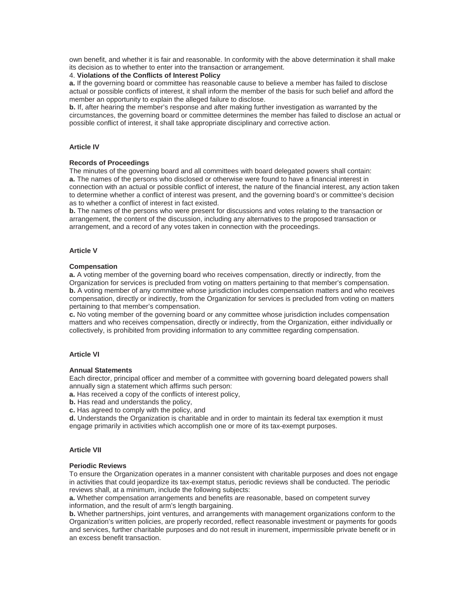own benefit, and whether it is fair and reasonable. In conformity with the above determination it shall make its decision as to whether to enter into the transaction or arrangement.

# 4. **Violations of the Conflicts of Interest Policy**

**a.** If the governing board or committee has reasonable cause to believe a member has failed to disclose actual or possible conflicts of interest, it shall inform the member of the basis for such belief and afford the member an opportunity to explain the alleged failure to disclose.

**b.** If, after hearing the member's response and after making further investigation as warranted by the circumstances, the governing board or committee determines the member has failed to disclose an actual or possible conflict of interest, it shall take appropriate disciplinary and corrective action.

# **Article IV**

### **Records of Proceedings**

The minutes of the governing board and all committees with board delegated powers shall contain: **a.** The names of the persons who disclosed or otherwise were found to have a financial interest in connection with an actual or possible conflict of interest, the nature of the financial interest, any action taken to determine whether a conflict of interest was present, and the governing board's or committee's decision as to whether a conflict of interest in fact existed.

**b.** The names of the persons who were present for discussions and votes relating to the transaction or arrangement, the content of the discussion, including any alternatives to the proposed transaction or arrangement, and a record of any votes taken in connection with the proceedings.

# **Article V**

### **Compensation**

**a.** A voting member of the governing board who receives compensation, directly or indirectly, from the Organization for services is precluded from voting on matters pertaining to that member's compensation. **b.** A voting member of any committee whose jurisdiction includes compensation matters and who receives compensation, directly or indirectly, from the Organization for services is precluded from voting on matters pertaining to that member's compensation.

**c.** No voting member of the governing board or any committee whose jurisdiction includes compensation matters and who receives compensation, directly or indirectly, from the Organization, either individually or collectively, is prohibited from providing information to any committee regarding compensation.

# **Article VI**

### **Annual Statements**

Each director, principal officer and member of a committee with governing board delegated powers shall annually sign a statement which affirms such person:

- **a.** Has received a copy of the conflicts of interest policy,
- **b.** Has read and understands the policy,
- **c.** Has agreed to comply with the policy, and

**d.** Understands the Organization is charitable and in order to maintain its federal tax exemption it must engage primarily in activities which accomplish one or more of its tax-exempt purposes.

# **Article VII**

### **Periodic Reviews**

To ensure the Organization operates in a manner consistent with charitable purposes and does not engage in activities that could jeopardize its tax-exempt status, periodic reviews shall be conducted. The periodic reviews shall, at a minimum, include the following subjects:

**a.** Whether compensation arrangements and benefits are reasonable, based on competent survey information, and the result of arm's length bargaining.

**b.** Whether partnerships, joint ventures, and arrangements with management organizations conform to the Organization's written policies, are properly recorded, reflect reasonable investment or payments for goods and services, further charitable purposes and do not result in inurement, impermissible private benefit or in an excess benefit transaction.